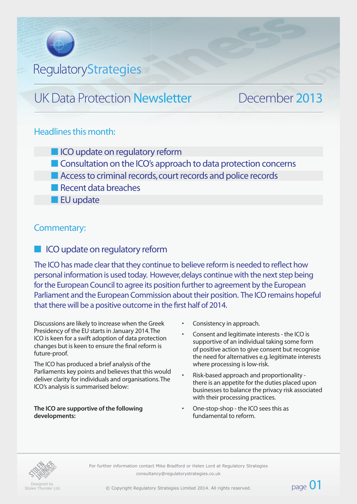# **RegulatoryStrategies**

# UK Data Protection Newsletter December 2013

#### Headlines this month:

- **n** ICO update on regulatory reform
- **n** Consultation on the ICO's approach to data protection concerns
- Access to criminal records, court records and police records
- **n** Recent data breaches
- $\blacksquare$  EU update

### Commentary:

### **n** ICO update on regulatory reform

The ICO has made clear that they continue to believe reform is needed to reflect how personal information is used today. However, delays continue with the next step being for the European Council to agree its position further to agreement by the European Parliament and the European Commission about their position. The ICO remains hopeful that there will be a positive outcome in the first half of 2014.

Discussions are likely to increase when the Greek Presidency of the EU starts in January 2014. The ICO is keen for a swift adoption of data protection changes but is keen to ensure the final reform is future-proof.

The ICO has produced a brief analysis of the Parliaments key points and believes that this would deliver clarity for individuals and organisations. The ICO's analysis is summarised below:

**The ICO are supportive of the following developments:**

Consistency in approach.

- Consent and legitimate interests the ICO is supportive of an individual taking some form of positive action to give consent but recognise the need for alternatives e.g. legitimate interests where processing is low-risk.
- Risk-based approach and proportionality there is an appetite for the duties placed upon businesses to balance the privacy risk associated with their processing practices.

page  $01$ 

• One-stop-shop - the ICO sees this as fundamental to reform.



Designed by Stolen Thunder Ltd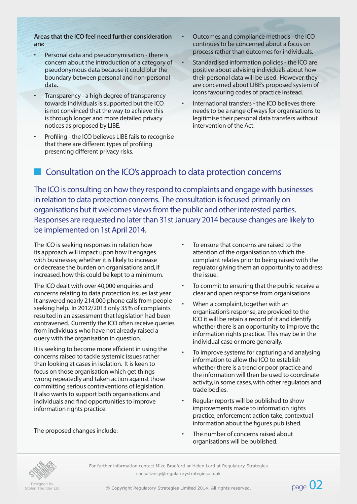#### **Areas that the ICO feel need further consideration are:**

- Personal data and pseudonymisation there is concern about the introduction of a category of pseudonymous data because it could blur the boundary between personal and non-personal data.
- Transparency a high degree of transparency towards individuals is supported but the ICO is not convinced that the way to achieve this is through longer and more detailed privacy notices as proposed by LIBE.
- Profiling the ICO believes LIBE fails to recognise that there are different types of profiling presenting different privacy risks.
- Outcomes and compliance methods the ICO continues to be concerned about a focus on process rather than outcomes for individuals.
- Standardised information policies the ICO are positive about advising individuals about how their personal data will be used. However, they are concerned about LIBE's proposed system of icons favouring codes of practice instead.
- International transfers the ICO believes there needs to be a range of ways for organisations to legitimise their personal data transfers without intervention of the Act.

# n Consultation on the ICO's approach to data protection concerns

The ICO is consulting on how they respond to complaints and engage with businesses in relation to data protection concerns. The consultation is focused primarily on organisations but it welcomes views from the public and other interested parties. Responses are requested no later than 31st January 2014 because changes are likely to be implemented on 1st April 2014.

The ICO is seeking responses in relation how its approach will impact upon how it engages with businesses; whether it is likely to increase or decrease the burden on organisations and, if increased, how this could be kept to a minimum.

The ICO dealt with over 40,000 enquiries and concerns relating to data protection issues last year. It answered nearly 214,000 phone calls from people seeking help. In 2012/2013 only 35% of complaints resulted in an assessment that legislation had been contravened. Currently the ICO often receive queries from individuals who have not already raised a query with the organisation in question.

It is seeking to become more efficient in using the concerns raised to tackle systemic issues rather than looking at cases in isolation. It is keen to focus on those organisation which get things wrong repeatedly and taken action against those committing serious contraventions of legislation. It also wants to support both organisations and individuals and find opportunities to improve information rights practice.

The proposed changes include:

- To ensure that concerns are raised to the attention of the organisation to which the complaint relates prior to being raised with the regulator giving them an opportunity to address the issue.
- To commit to ensuring that the public receive a clear and open response from organisations.
- When a complaint, together with an organisation's response, are provided to the ICO it will be retain a record of it and identify whether there is an opportunity to improve the information rights practice. This may be in the individual case or more generally.
- To improve systems for capturing and analysing information to allow the ICO to establish whether there is a trend or poor practice and the information will then be used to coordinate activity, in some cases, with other regulators and trade bodies.
- Regular reports will be published to show improvements made to information rights practice; enforcement action take; contextual information about the figures published.
- The number of concerns raised about organisations will be published.



Designed by<br>Stolen Thunder Ltd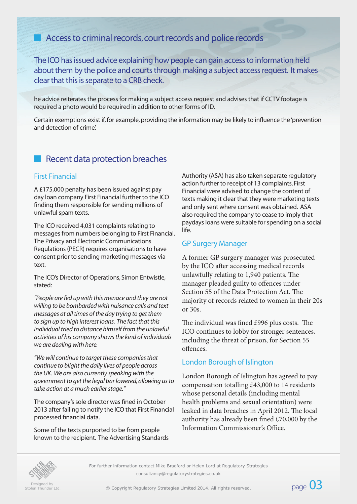# **n** Access to criminal records, court records and police records

The ICO has issued advice explaining how people can gain access to information held about them by the police and courts through making a subject access request. It makes clear that this is separate to a CRB check.

he advice reiterates the process for making a subject access request and advises that if CCTV footage is required a photo would be required in addition to other forms of ID.

Certain exemptions exist if, for example, providing the information may be likely to influence the 'prevention and detection of crime'.

## Recent data protection breaches

#### First Financial

A £175,000 penalty has been issued against pay day loan company First Financial further to the ICO finding them responsible for sending millions of unlawful spam texts.

The ICO received 4,031 complaints relating to messages from numbers belonging to First Financial. The Privacy and Electronic Communications Regulations (PECR) requires organisations to have consent prior to sending marketing messages via text.

The ICO's Director of Operations, Simon Entwistle, stated:

*"People are fed up with this menace and they are not willing to be bombarded with nuisance calls and text messages at all times of the day trying to get them to sign up to high interest loans. The fact that this individual tried to distance himself from the unlawful activities of his company shows the kind of individuals we are dealing with here.*

*"We will continue to target these companies that continue to blight the daily lives of people across the UK. We are also currently speaking with the government to get the legal bar lowered, allowing us to take action at a much earlier stage."*

The company's sole director was fined in October 2013 after failing to notify the ICO that First Financial processed financial data.

Some of the texts purported to be from people known to the recipient. The Advertising Standards Authority (ASA) has also taken separate regulatory action further to receipt of 13 complaints. First Financial were advised to change the content of texts making it clear that they were marketing texts and only sent where consent was obtained. ASA also required the company to cease to imply that paydays loans were suitable for spending on a social life.

#### GP Surgery Manager

A former GP surgery manager was prosecuted by the ICO after accessing medical records unlawfully relating to 1,940 patients. The manager pleaded guilty to offences under Section 55 of the Data Protection Act. The majority of records related to women in their 20s or 30s.

The individual was fined £996 plus costs. The ICO continues to lobby for stronger sentences, including the threat of prison, for Section 55 offences.

#### London Borough of Islington

London Borough of Islington has agreed to pay compensation totalling £43,000 to 14 residents whose personal details (including mental health problems and sexual orientation) were leaked in data breaches in April 2012. The local authority has already been fined £70,000 by the Information Commissioner's Office.

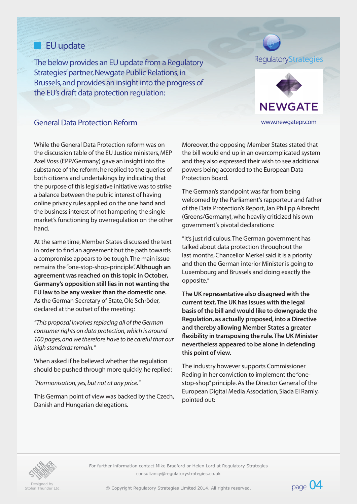## **n** EU update

The below provides an EU update from a Regulatory Strategies' partner, Newgate Public Relations, in Brussels, and provides an insight into the progress of the EU's draft data protection regulation:

## RegulatoryStrategies



#### General Data Protection Reform www.newgatepr.com

While the General Data Protection reform was on the discussion table of the EU Justice ministers, MEP Axel Voss (EPP/Germany) gave an insight into the substance of the reform: he replied to the queries of both citizens and undertakings by indicating that the purpose of this legislative initiative was to strike a balance between the public interest of having online privacy rules applied on the one hand and the business interest of not hampering the single market's functioning by overregulation on the other hand.

At the same time, Member States discussed the text in order to find an agreement but the path towards a compromise appears to be tough. The main issue remains the "one-stop-shop-principle". **Although an agreement was reached on this topic in October, Germany's opposition still lies in not wanting the EU law to be any weaker than the domestic one.** As the German Secretary of State, Ole Schröder, declared at the outset of the meeting:

*"This proposal involves replacing all of the German consumer rights on data protection, which is around 100 pages, and we therefore have to be careful that our high standards remain."* 

When asked if he believed whether the regulation should be pushed through more quickly, he replied:

*"Harmonisation, yes, but not at any price."*

This German point of view was backed by the Czech, Danish and Hungarian delegations.

Moreover, the opposing Member States stated that the bill would end up in an overcomplicated system and they also expressed their wish to see additional powers being accorded to the European Data Protection Board.

The German's standpoint was far from being welcomed by the Parliament's rapporteur and father of the Data Protection's Report, Jan Philipp Albrecht (Greens/Germany), who heavily criticized his own government's pivotal declarations:

"It's just ridiculous. The German government has talked about data protection throughout the last months, Chancellor Merkel said it is a priority and then the German interior Minister is going to Luxembourg and Brussels and doing exactly the opposite."

**The UK representative also disagreed with the current text. The UK has issues with the legal basis of the bill and would like to downgrade the Regulation, as actually proposed, into a Directive and thereby allowing Member States a greater flexibility in transposing the rule. The UK Minister nevertheless appeared to be alone in defending this point of view.** 

The industry however supports Commissioner Reding in her conviction to implement the "onestop-shop" principle. As the Director General of the European Digital Media Association, Siada El Ramly, pointed out:



Designed by<br>Stolen Thunder Ltd

exigned by<br>Stolen Thunder Ltd. Copyright Regulatory Strategies Limited 2014. All rights reserved. Companies the Copyright Regulatory Strategies Limited 2014. All rights reserved.